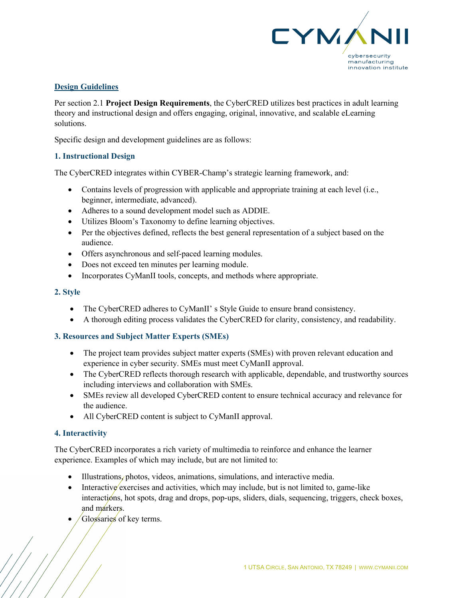

# **Design Guidelines**

Per section 2.1 **Project Design Requirements**, the CyberCRED utilizes best practices in adult learning theory and instructional design and offers engaging, original, innovative, and scalable eLearning solutions.

Specific design and development guidelines are as follows:

## **1. Instructional Design**

The CyberCRED integrates within CYBER-Champ's strategic learning framework, and:

- Contains levels of progression with applicable and appropriate training at each level (i.e., beginner, intermediate, advanced).
- Adheres to a sound development model such as ADDIE.
- Utilizes Bloom's Taxonomy to define learning objectives.
- Per the objectives defined, reflects the best general representation of a subject based on the audience.
- Offers asynchronous and self-paced learning modules.
- Does not exceed ten minutes per learning module.
- Incorporates CyManII tools, concepts, and methods where appropriate.

#### **2. Style**

- The CyberCRED adheres to CyManII's Style Guide to ensure brand consistency.
- A thorough editing process validates the CyberCRED for clarity, consistency, and readability.

### **3. Resources and Subject Matter Experts (SMEs)**

- The project team provides subject matter experts (SMEs) with proven relevant education and experience in cyber security. SMEs must meet CyManII approval.
- The CyberCRED reflects thorough research with applicable, dependable, and trustworthy sources including interviews and collaboration with SMEs.
- SMEs review all developed CyberCRED content to ensure technical accuracy and relevance for the audience.
- All CyberCRED content is subject to CyManII approval.

### **4. Interactivity**

The CyberCRED incorporates a rich variety of multimedia to reinforce and enhance the learner experience. Examples of which may include, but are not limited to:

- Illustrations, photos, videos, animations, simulations, and interactive media.
- Interactive exercises and activities, which may include, but is not limited to, game-like interactions, hot spots, drag and drops, pop-ups, sliders, dials, sequencing, triggers, check boxes, and markers.
- Glossaries of key terms.